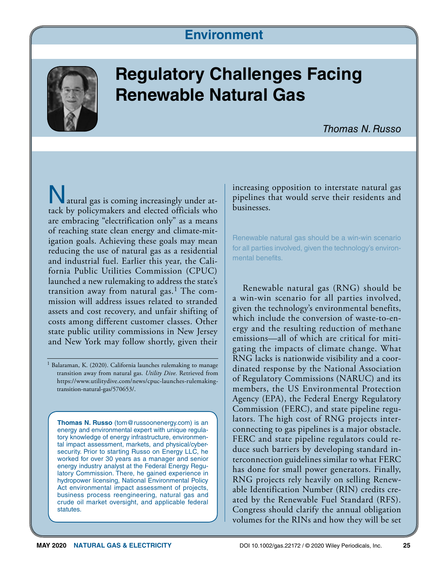### **Environment**



## **Regulatory Challenges Facing Renewable Natural Gas**

atural gas is coming increasingly under attack by policymakers and elected officials who are embracing "electrification only" as a means of reaching state clean energy and climate-mitigation goals. Achieving these goals may mean reducing the use of natural gas as a residential and industrial fuel. Earlier this year, the California Public Utilities Commission (CPUC) launched a new rulemaking to address the state's transition away from natural gas.<sup>1</sup> The commission will address issues related to stranded assets and cost recovery, and unfair shifting of costs among different customer classes. Other state public utility commissions in New Jersey and New York may follow shortly, given their

<sup>1</sup> Balaraman, K. (2020). California launches rulemaking to manage transition away from natural gas. *Utility Dive.* Retrieved from [https://www.utilitydive.com/news/cpuc-launches-rulemaking](https://www.utilitydive.com/news/cpuc-launches-rulemaking-transition-natural-gas/570653/)[transition-natural-gas/570653/](https://www.utilitydive.com/news/cpuc-launches-rulemaking-transition-natural-gas/570653/).

**Thomas N. Russo** ([tom@russoonenergy.com\)](mailto:tom@russoonenergy.com) is an energy and environmental expert with unique regulatory knowledge of energy infrastructure, environmental impact assessment, markets, and physical/cybersecurity. Prior to starting Russo on Energy LLC, he worked for over 30 years as a manager and senior energy industry analyst at the Federal Energy Regulatory Commission. There, he gained experience in hydropower licensing, National Environmental Policy Act environmental impact assessment of projects, business process reengineering, natural gas and crude oil market oversight, and applicable federal statutes.

increasing opposition to interstate natural gas pipelines that would serve their residents and businesses.

Renewable natural gas should be a win-win scenario for all parties involved, given the technology's environmental benefits.

Renewable natural gas (RNG) should be a win-win scenario for all parties involved, given the technology's environmental benefits, which include the conversion of waste-to-energy and the resulting reduction of methane emissions—all of which are critical for mitigating the impacts of climate change. What RNG lacks is nationwide visibility and a coordinated response by the National Association of Regulatory Commissions (NARUC) and its members, the US Environmental Protection Agency (EPA), the Federal Energy Regulatory Commission (FERC), and state pipeline regulators. The high cost of RNG projects interconnecting to gas pipelines is a major obstacle. FERC and state pipeline regulators could reduce such barriers by developing standard interconnection guidelines similar to what FERC has done for small power generators. Finally, RNG projects rely heavily on selling Renewable Identification Number (RIN) credits created by the Renewable Fuel Standard (RFS). Congress should clarify the annual obligation volumes for the RINs and how they will be set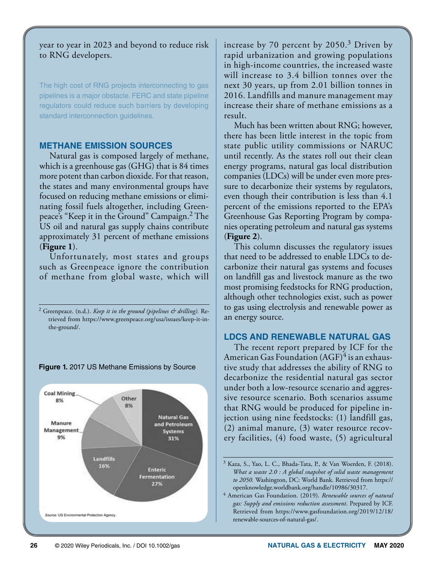year to year in 2023 and beyond to reduce risk to RNG developers.

The high cost of RNG projects interconnecting to gas pipelines is a major obstacle. FERC and state pipeline regulators could reduce such barriers by developing standard interconnection guidelines.

#### **METHANE EMISSION SOURCES**

Natural gas is composed largely of methane, which is a greenhouse gas (GHG) that is 84 times more potent than carbon dioxide. For that reason, the states and many environmental groups have focused on reducing methane emissions or eliminating fossil fuels altogether, including Greenpeace's "Keep it in the Ground" Campaign.2 The US oil and natural gas supply chains contribute approximately 31 percent of methane emissions (**Figure 1**).

Unfortunately, most states and groups such as Greenpeace ignore the contribution of methane from global waste, which will



**Figure 1.** 2017 US Methane Emissions by Source

increase by 70 percent by 2050.3 Driven by rapid urbanization and growing populations in high-income countries, the increased waste will increase to 3.4 billion tonnes over the next 30 years, up from 2.01 billion tonnes in 2016. Landfills and manure management may increase their share of methane emissions as a result.

Much has been written about RNG; however, there has been little interest in the topic from state public utility commissions or NARUC until recently. As the states roll out their clean energy programs, natural gas local distribution companies (LDCs) will be under even more pressure to decarbonize their systems by regulators, even though their contribution is less than 4.1 percent of the emissions reported to the EPA's Greenhouse Gas Reporting Program by companies operating petroleum and natural gas systems (**Figure 2**).

This column discusses the regulatory issues that need to be addressed to enable LDCs to decarbonize their natural gas systems and focuses on landfill gas and livestock manure as the two most promising feedstocks for RNG production, although other technologies exist, such as power to gas using electrolysis and renewable power as an energy source.

#### **LDCS AND RENEWABLE NATURAL GAS**

The recent report prepared by ICF for the American Gas Foundation  $(AGF)^4$  is an exhaustive study that addresses the ability of RNG to decarbonize the residential natural gas sector under both a low-resource scenario and aggressive resource scenario. Both scenarios assume that RNG would be produced for pipeline injection using nine feedstocks: (1) landfill gas, (2) animal manure, (3) water resource recovery facilities, (4) food waste, (5) agricultural

<sup>2</sup> Greenpeace. (n.d.). *Keep it in the ground (pipelines & drilling).* Retrieved from [https://www.greenpeace.org/usa/issues/keep-it-in](https://www.greenpeace.org/usa/issues/keep-it-in-the-ground/)[the-ground/](https://www.greenpeace.org/usa/issues/keep-it-in-the-ground/).

<sup>3</sup> Kaza, S., Yao, L. C., Bhada-Tata, P., & Van Woerden, F. (2018). *What a waste 2.0 : A global snapshot of solid waste management to 2050.* Washington, DC: World Bank. Retrieved from [https://](https://openknowledge.worldbank.org/handle/10986/30317) [openknowledge.worldbank.org/handle/10986/30317](https://openknowledge.worldbank.org/handle/10986/30317).

<sup>4</sup> American Gas Foundation. (2019). *Renewable sources of natural gas: Supply and emissions reduction assessment*. Prepared by ICF. Retrieved from [https://www.gasfoundation.org/2019/12/18/](https://www.gasfoundation.org/2019/12/18/renewable-sources-of-natural-gas/) [renewable-sources-of-natural-gas/.](https://www.gasfoundation.org/2019/12/18/renewable-sources-of-natural-gas/)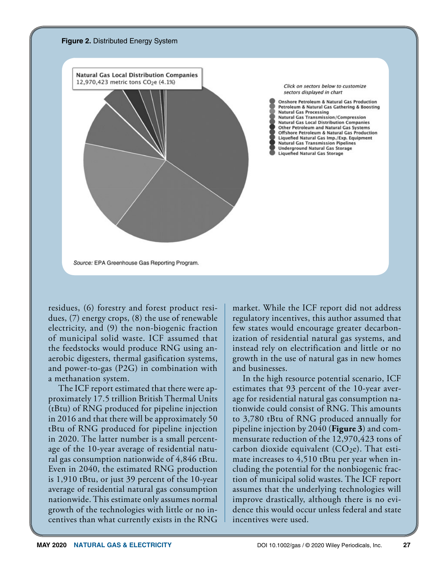

residues, (6) forestry and forest product residues, (7) energy crops, (8) the use of renewable electricity, and (9) the non-biogenic fraction of municipal solid waste. ICF assumed that the feedstocks would produce RNG using anaerobic digesters, thermal gasification systems, and power-to-gas (P2G) in combination with a methanation system.

The ICF report estimated that there were approximately 17.5 trillion British Thermal Units (tBtu) of RNG produced for pipeline injection in 2016 and that there will be approximately 50 tBtu of RNG produced for pipeline injection in 2020. The latter number is a small percentage of the 10-year average of residential natural gas consumption nationwide of 4,846 tBtu. Even in 2040, the estimated RNG production is 1,910 tBtu, or just 39 percent of the 10-year average of residential natural gas consumption nationwide. This estimate only assumes normal growth of the technologies with little or no incentives than what currently exists in the RNG

market. While the ICF report did not address regulatory incentives, this author assumed that few states would encourage greater decarbonization of residential natural gas systems, and instead rely on electrification and little or no growth in the use of natural gas in new homes and businesses.

In the high resource potential scenario, ICF estimates that 93 percent of the 10-year average for residential natural gas consumption nationwide could consist of RNG. This amounts to 3,780 tBtu of RNG produced annually for pipeline injection by 2040 (**Figure 3**) and commensurate reduction of the 12,970,423 tons of carbon dioxide equivalent  $(CO<sub>2</sub>e)$ . That estimate increases to 4,510 tBtu per year when including the potential for the nonbiogenic fraction of municipal solid wastes. The ICF report assumes that the underlying technologies will improve drastically, although there is no evidence this would occur unless federal and state incentives were used.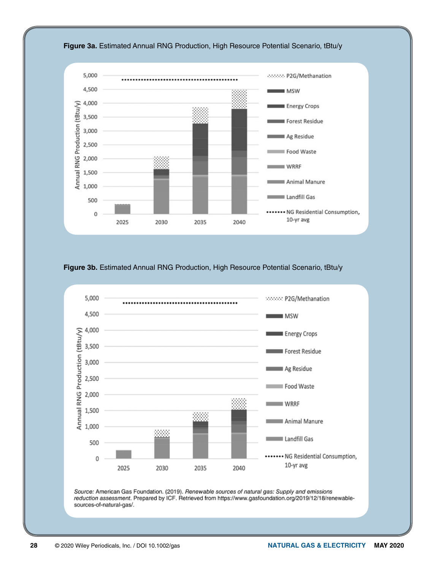

**Figure 3b.** Estimated Annual RNG Production, High Resource Potential Scenario, tBtu/y



Source: American Gas Foundation. (2019). Renewable sources of natural gas: Supply and emissions reduction assessment. Prepared by ICF. Retrieved from https://www.gasfoundation.org/2019/12/18/renewablesources-of-natural-gas/.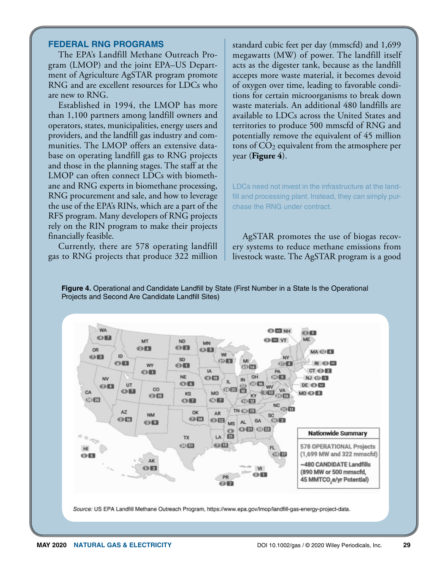#### **FEDERAL RNG PROGRAMS**

The EPA's Landfill Methane Outreach Program (LMOP) and the joint EPA–US Department of Agriculture AgSTAR program promote RNG and are excellent resources for LDCs who are new to RNG.

Established in 1994, the LMOP has more than 1,100 partners among landfill owners and operators, states, municipalities, energy users and providers, and the landfill gas industry and communities. The LMOP offers an extensive database on operating landfill gas to RNG projects and those in the planning stages. The staff at the LMOP can often connect LDCs with biomethane and RNG experts in biomethane processing, RNG procurement and sale, and how to leverage the use of the EPA's RINs, which are a part of the RFS program. Many developers of RNG projects rely on the RIN program to make their projects financially feasible.

Currently, there are 578 operating landfill gas to RNG projects that produce 322 million standard cubic feet per day (mmscfd) and 1,699 megawatts (MW) of power. The landfill itself acts as the digester tank, because as the landfill accepts more waste material, it becomes devoid of oxygen over time, leading to favorable conditions for certain microorganisms to break down waste materials. An additional 480 landfills are available to LDCs across the United States and territories to produce 500 mmscfd of RNG and potentially remove the equivalent of 45 million tons of CO2 equivalent from the atmosphere per year (**Figure 4**).

LDCs need not invest in the infrastructure at the landfill and processing plant. Instead, they can simply purchase the RNG under contract.

AgSTAR promotes the use of biogas recovery systems to reduce methane emissions from livestock waste. The AgSTAR program is a good

**Figure 4.** Operational and Candidate Landfill by State (First Number in a State Is the Operational Projects and Second Are Candidate Landfill Sites)

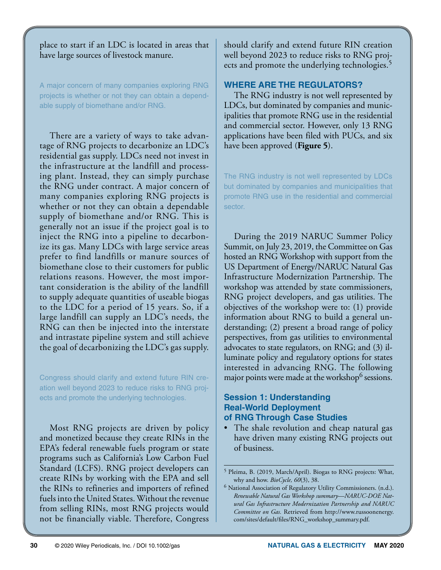place to start if an LDC is located in areas that have large sources of livestock manure.

A major concern of many companies exploring RNG projects is whether or not they can obtain a dependable supply of biomethane and/or RNG.

There are a variety of ways to take advantage of RNG projects to decarbonize an LDC's residential gas supply. LDCs need not invest in the infrastructure at the landfill and processing plant. Instead, they can simply purchase the RNG under contract. A major concern of many companies exploring RNG projects is whether or not they can obtain a dependable supply of biomethane and/or RNG. This is generally not an issue if the project goal is to inject the RNG into a pipeline to decarbonize its gas. Many LDCs with large service areas prefer to find landfills or manure sources of biomethane close to their customers for public relations reasons. However, the most important consideration is the ability of the landfill to supply adequate quantities of useable biogas to the LDC for a period of 15 years. So, if a large landfill can supply an LDC's needs, the RNG can then be injected into the interstate and intrastate pipeline system and still achieve the goal of decarbonizing the LDC's gas supply.

Congress should clarify and extend future RIN creation well beyond 2023 to reduce risks to RNG projects and promote the underlying technologies.

Most RNG projects are driven by policy and monetized because they create RINs in the EPA's federal renewable fuels program or state programs such as California's Low Carbon Fuel Standard (LCFS). RNG project developers can create RINs by working with the EPA and sell the RINs to refineries and importers of refined fuels into the United States. Without the revenue from selling RINs, most RNG projects would not be financially viable. Therefore, Congress

should clarify and extend future RIN creation well beyond 2023 to reduce risks to RNG projects and promote the underlying technologies.<sup>5</sup>

#### **WHERE ARE THE REGULATORS?**

The RNG industry is not well represented by LDCs, but dominated by companies and municipalities that promote RNG use in the residential and commercial sector. However, only 13 RNG applications have been filed with PUCs, and six have been approved (**Figure 5**).

The RNG industry is not well represented by LDCs but dominated by companies and municipalities that promote RNG use in the residential and commercial sector.

During the 2019 NARUC Summer Policy Summit, on July 23, 2019, the Committee on Gas hosted an RNG Workshop with support from the US Department of Energy/NARUC Natural Gas Infrastructure Modernization Partnership. The workshop was attended by state commissioners, RNG project developers, and gas utilities. The objectives of the workshop were to: (1) provide information about RNG to build a general understanding; (2) present a broad range of policy perspectives, from gas utilities to environmental advocates to state regulators, on RNG; and (3) illuminate policy and regulatory options for states interested in advancing RNG. The following major points were made at the workshop<sup>6</sup> sessions.

#### **Session 1: Understanding Real-World Deployment of RNG Through Case Studies**

• The shale revolution and cheap natural gas have driven many existing RNG projects out of business.

<sup>&</sup>lt;sup>5</sup> Pleima, B. (2019, March/April). Biogas to RNG projects: What, why and how. *BioCycle, 60*(3), 38.

 $6$  National Association of Regulatory Utility Commissioners. (n.d.). *Renewable Natural Gas Workshop summary—NARUC-DOE Natural Gas Infrastructure Modernization Partnership and NARUC Committee on Gas.* Retrieved from [http://www.russoonenergy.](http://www.russoonenergy.com/sites/default/files/RNG_workshop_summary.pdf) [com/sites/default/files/RNG\\_workshop\\_summary.pdf](http://www.russoonenergy.com/sites/default/files/RNG_workshop_summary.pdf).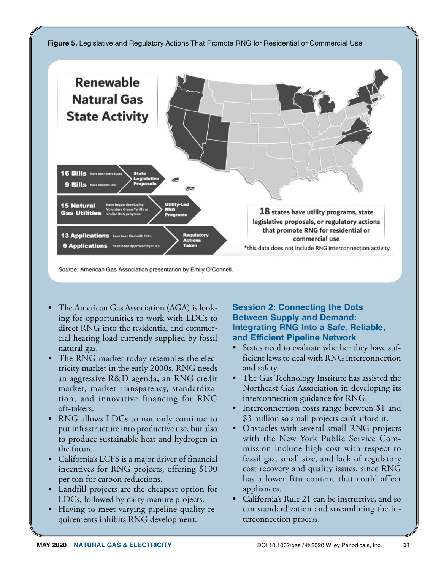

Source: American Gas Association presentation by Emily O'Connell.

- The American Gas Association (AGA) is looking for opportunities to work with LDCs to direct RNG into the residential and commercial heating load currently supplied by fossil natural gas.
- The RNG market today resembles the electricity market in the early 2000s. RNG needs an aggressive R&D agenda, an RNG credit market, market transparency, standardization, and innovative financing for RNG off-takers.
- RNG allows LDCs to not only continue to put infrastructure into productive use, but also to produce sustainable heat and hydrogen in the future.
- California's LCFS is a major driver of financial incentives for RNG projects, offering \$100 per ton for carbon reductions.
- Landfill projects are the cheapest option for LDCs, followed by dairy manure projects.
- Having to meet varying pipeline quality requirements inhibits RNG development.

#### **Session 2: Connecting the Dots Between Supply and Demand: Integrating RNG Into a Safe, Reliable, and Efficient Pipeline Network**

- States need to evaluate whether they have sufficient laws to deal with RNG interconnection and safety.
- The Gas Technology Institute has assisted the Northeast Gas Association in developing its interconnection guidance for RNG.
- Interconnection costs range between \$1 and \$3 million so small projects can't afford it.
- Obstacles with several small RNG projects with the New York Public Service Commission include high cost with respect to fossil gas, small size, and lack of regulatory cost recovery and quality issues, since RNG has a lower Btu content that could affect appliances.
- California's Rule 21 can be instructive, and so can standardization and streamlining the interconnection process.